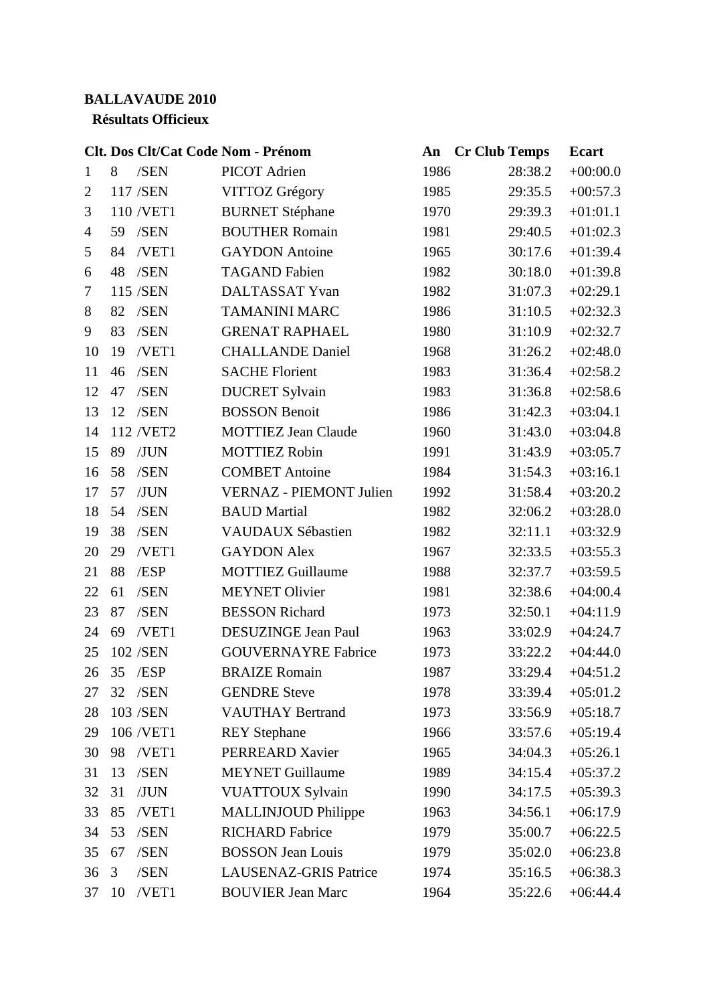## **BALLAVAUDE 2010**

## **Résultats Officieux**

|                | Clt. Dos Clt/Cat Code Nom - Prénom |                                | An   | <b>Cr Club Temps</b> | <b>Ecart</b> |
|----------------|------------------------------------|--------------------------------|------|----------------------|--------------|
| $\mathbf{1}$   | 8<br>/SEN                          | <b>PICOT</b> Adrien            | 1986 | 28:38.2              | $+00:00.0$   |
| $\mathbf{2}$   | 117 /SEN                           | VITTOZ Grégory                 | 1985 | 29:35.5              | $+00:57.3$   |
| 3              | 110 /VET1                          | <b>BURNET Stéphane</b>         | 1970 | 29:39.3              | $+01:01.1$   |
| $\overline{4}$ | /SEN<br>59                         | <b>BOUTHER Romain</b>          | 1981 | 29:40.5              | $+01:02.3$   |
| 5              | 84<br>/VET1                        | <b>GAYDON</b> Antoine          | 1965 | 30:17.6              | $+01:39.4$   |
| 6              | 48<br>/SEN                         | <b>TAGAND Fabien</b>           | 1982 | 30:18.0              | $+01:39.8$   |
| 7              | 115 /SEN                           | DALTASSAT Yvan                 | 1982 | 31:07.3              | $+02:29.1$   |
| 8              | 82<br>/SEN                         | <b>TAMANINI MARC</b>           | 1986 | 31:10.5              | $+02:32.3$   |
| 9              | 83<br>/SEN                         | <b>GRENAT RAPHAEL</b>          | 1980 | 31:10.9              | $+02:32.7$   |
| 10             | 19<br>/VET1                        | <b>CHALLANDE Daniel</b>        | 1968 | 31:26.2              | $+02:48.0$   |
| 11             | /SEN<br>46                         | <b>SACHE Florient</b>          | 1983 | 31:36.4              | $+02:58.2$   |
| 12             | /SEN<br>47                         | <b>DUCRET Sylvain</b>          | 1983 | 31:36.8              | $+02:58.6$   |
| 13             | 12<br>/SEN                         | <b>BOSSON Benoit</b>           | 1986 | 31:42.3              | $+03:04.1$   |
| 14             | 112 /VET2                          | <b>MOTTIEZ Jean Claude</b>     | 1960 | 31:43.0              | $+03:04.8$   |
| 15             | /JUN<br>89                         | <b>MOTTIEZ Robin</b>           | 1991 | 31:43.9              | $+03:05.7$   |
| 16             | 58<br>/SEN                         | <b>COMBET Antoine</b>          | 1984 | 31:54.3              | $+03:16.1$   |
| 17             | 57<br>/JUN                         | <b>VERNAZ - PIEMONT Julien</b> | 1992 | 31:58.4              | $+03:20.2$   |
| 18             | /SEN<br>54                         | <b>BAUD</b> Martial            | 1982 | 32:06.2              | $+03:28.0$   |
| 19             | /SEN<br>38                         | VAUDAUX Sébastien              | 1982 | 32:11.1              | $+03:32.9$   |
| 20             | 29<br>/VET1                        | <b>GAYDON Alex</b>             | 1967 | 32:33.5              | $+03:55.3$   |
| 21             | 88<br>/ESP                         | <b>MOTTIEZ Guillaume</b>       | 1988 | 32:37.7              | $+03:59.5$   |
| 22             | 61<br>/SEN                         | <b>MEYNET Olivier</b>          | 1981 | 32:38.6              | $+04:00.4$   |
| 23             | 87<br>/SEN                         | <b>BESSON Richard</b>          | 1973 | 32:50.1              | $+04:11.9$   |
| 24             | 69<br>/VET1                        | <b>DESUZINGE Jean Paul</b>     | 1963 | 33:02.9              | $+04:24.7$   |
| 25             | 102 /SEN                           | <b>GOUVERNAYRE Fabrice</b>     | 1973 | 33:22.2              | $+04:44.0$   |
| 26             | 35<br>/ESP                         | <b>BRAIZE Romain</b>           | 1987 | 33:29.4              | $+04:51.2$   |
| 27             | /SEN<br>32                         | <b>GENDRE</b> Steve            | 1978 | 33:39.4              | $+05:01.2$   |
| 28             | 103 /SEN                           | <b>VAUTHAY Bertrand</b>        | 1973 | 33:56.9              | $+05:18.7$   |
| 29             | 106 /VET1                          | <b>REY</b> Stephane            | 1966 | 33:57.6              | $+05:19.4$   |
| 30             | /VET1<br>98                        | PERREARD Xavier                | 1965 | 34:04.3              | $+05:26.1$   |
| 31             | 13<br>/SEN                         | <b>MEYNET Guillaume</b>        | 1989 | 34:15.4              | $+05:37.2$   |
| 32             | 31<br>/JUN                         | <b>VUATTOUX Sylvain</b>        | 1990 | 34:17.5              | $+05:39.3$   |
| 33             | /VET1<br>85                        | <b>MALLINJOUD Philippe</b>     | 1963 | 34:56.1              | $+06:17.9$   |
| 34             | 53<br>/SEN                         | <b>RICHARD Fabrice</b>         | 1979 | 35:00.7              | $+06:22.5$   |
| 35             | /SEN<br>67                         | <b>BOSSON Jean Louis</b>       | 1979 | 35:02.0              | $+06:23.8$   |
| 36             | /SEN<br>3                          | <b>LAUSENAZ-GRIS Patrice</b>   | 1974 | 35:16.5              | $+06:38.3$   |
| 37             | 10<br>/VET1                        | <b>BOUVIER Jean Marc</b>       | 1964 | 35:22.6              | $+06:44.4$   |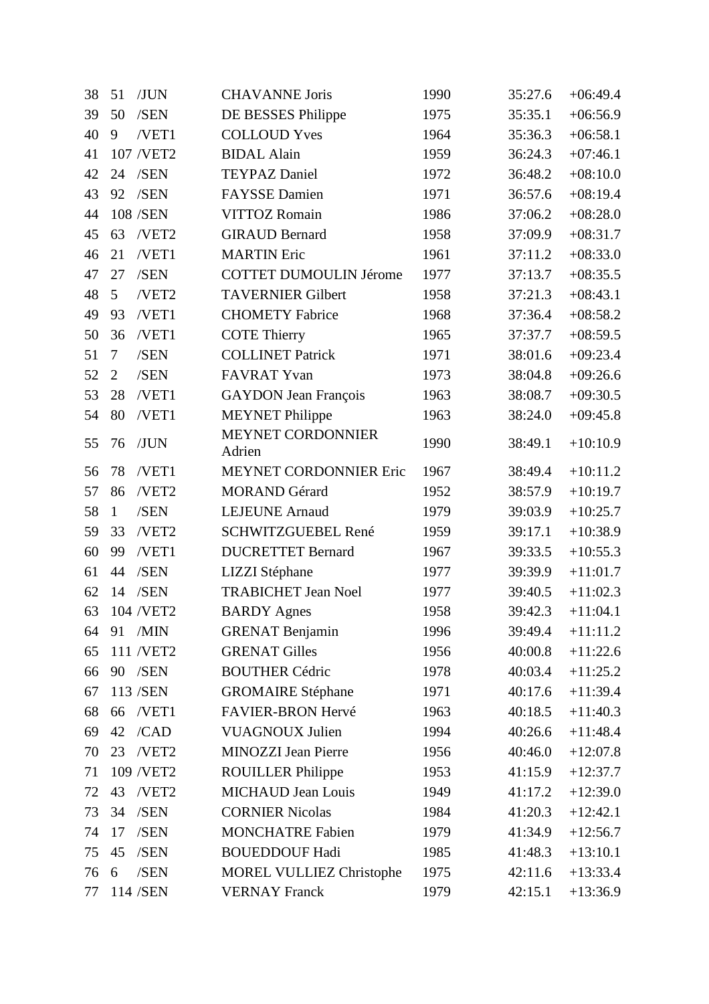| 38 | /JUN<br>51              | <b>CHAVANNE Joris</b>           | 1990 | 35:27.6 | $+06:49.4$ |
|----|-------------------------|---------------------------------|------|---------|------------|
| 39 | 50<br>/SEN              | DE BESSES Philippe              | 1975 | 35:35.1 | $+06:56.9$ |
| 40 | /VET1<br>9              | <b>COLLOUD</b> Yves             | 1964 | 35:36.3 | $+06:58.1$ |
| 41 | 107 /VET2               | <b>BIDAL Alain</b>              | 1959 | 36:24.3 | $+07:46.1$ |
| 42 | /SEN<br>24              | <b>TEYPAZ Daniel</b>            | 1972 | 36:48.2 | $+08:10.0$ |
| 43 | 92<br>/SEN              | <b>FAYSSE</b> Damien            | 1971 | 36:57.6 | $+08:19.4$ |
| 44 | 108 /SEN                | <b>VITTOZ Romain</b>            | 1986 | 37:06.2 | $+08:28.0$ |
| 45 | 63<br>/VET2             | <b>GIRAUD Bernard</b>           | 1958 | 37:09.9 | $+08:31.7$ |
| 46 | 21<br>/VET1             | <b>MARTIN Eric</b>              | 1961 | 37:11.2 | $+08:33.0$ |
| 47 | 27<br>/SEN              | <b>COTTET DUMOULIN Jérome</b>   | 1977 | 37:13.7 | $+08:35.5$ |
| 48 | 5 <sup>5</sup><br>/VET2 | <b>TAVERNIER Gilbert</b>        | 1958 | 37:21.3 | $+08:43.1$ |
| 49 | /VET1<br>93             | <b>CHOMETY Fabrice</b>          | 1968 | 37:36.4 | $+08:58.2$ |
| 50 | /VET1<br>36             | <b>COTE Thierry</b>             | 1965 | 37:37.7 | $+08:59.5$ |
| 51 | $\overline{7}$<br>/SEN  | <b>COLLINET Patrick</b>         | 1971 | 38:01.6 | $+09:23.4$ |
| 52 | $\overline{2}$<br>/SEN  | <b>FAVRAT Yvan</b>              | 1973 | 38:04.8 | $+09:26.6$ |
| 53 | 28<br>/VET1             | <b>GAYDON</b> Jean François     | 1963 | 38:08.7 | $+09:30.5$ |
| 54 | 80<br>/VET1             | <b>MEYNET Philippe</b>          | 1963 | 38:24.0 | $+09:45.8$ |
| 55 | /JUN<br>76              | MEYNET CORDONNIER<br>Adrien     | 1990 | 38:49.1 | $+10:10.9$ |
| 56 | 78<br>/VET1             | <b>MEYNET CORDONNIER Eric</b>   | 1967 | 38:49.4 | $+10:11.2$ |
| 57 | /VET2<br>86             | <b>MORAND Gérard</b>            | 1952 | 38:57.9 | $+10:19.7$ |
| 58 | /SEN<br>$\mathbf{1}$    | <b>LEJEUNE Arnaud</b>           | 1979 | 39:03.9 | $+10:25.7$ |
| 59 | /VET2<br>33             | SCHWITZGUEBEL René              | 1959 | 39:17.1 | $+10:38.9$ |
| 60 | 99<br>/VET1             | <b>DUCRETTET Bernard</b>        | 1967 | 39:33.5 | $+10:55.3$ |
| 61 | /SEN<br>44              | LIZZI Stéphane                  | 1977 | 39:39.9 | $+11:01.7$ |
| 62 | / <b>SEN</b><br>14      | <b>TRABICHET Jean Noel</b>      | 1977 | 39:40.5 | $+11:02.3$ |
| 63 | 104 /VET2               | <b>BARDY</b> Agnes              | 1958 | 39:42.3 | $+11:04.1$ |
| 64 | /MIN<br>91              | <b>GRENAT Benjamin</b>          | 1996 | 39:49.4 | $+11:11.2$ |
| 65 | 111 /VET2               | <b>GRENAT Gilles</b>            | 1956 | 40:00.8 | $+11:22.6$ |
| 66 | 90<br>/SEN              | <b>BOUTHER Cédric</b>           | 1978 | 40:03.4 | $+11:25.2$ |
| 67 | 113 /SEN                | <b>GROMAIRE</b> Stéphane        | 1971 | 40:17.6 | $+11:39.4$ |
| 68 | /VET1<br>66             | FAVIER-BRON Hervé               | 1963 | 40:18.5 | $+11:40.3$ |
| 69 | /CAD<br>42              | <b>VUAGNOUX Julien</b>          | 1994 | 40:26.6 | $+11:48.4$ |
| 70 | 23<br>/VET2             | <b>MINOZZI</b> Jean Pierre      | 1956 | 40:46.0 | $+12:07.8$ |
| 71 | 109 /VET2               | <b>ROUILLER Philippe</b>        | 1953 | 41:15.9 | $+12:37.7$ |
| 72 | 43<br>/VET2             | <b>MICHAUD Jean Louis</b>       | 1949 | 41:17.2 | $+12:39.0$ |
| 73 | 34<br>/SEN              | <b>CORNIER Nicolas</b>          | 1984 | 41:20.3 | $+12:42.1$ |
| 74 | 17<br>/SEN              | <b>MONCHATRE Fabien</b>         | 1979 | 41:34.9 | $+12:56.7$ |
| 75 | 45<br>/SEN              | <b>BOUEDDOUF Hadi</b>           | 1985 | 41:48.3 | $+13:10.1$ |
| 76 | /SEN<br>6               | <b>MOREL VULLIEZ Christophe</b> | 1975 | 42:11.6 | $+13:33.4$ |
| 77 | 114 /SEN                | <b>VERNAY Franck</b>            | 1979 | 42:15.1 | $+13:36.9$ |